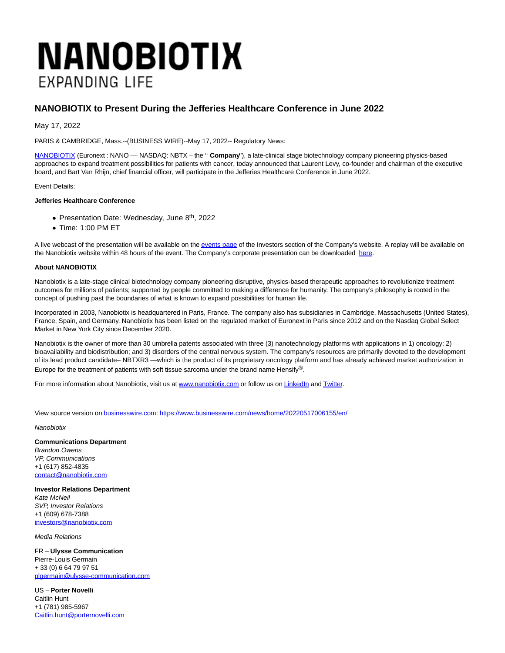## **NANOBIOTIX EXPANDING LIFE**

## **NANOBIOTIX to Present During the Jefferies Healthcare Conference in June 2022**

May 17, 2022

PARIS & CAMBRIDGE, Mass.--(BUSINESS WIRE)--May 17, 2022-- Regulatory News:

[NANOBIOTIX \(](https://cts.businesswire.com/ct/CT?id=smartlink&url=https%3A%2F%2Fwww.nanobiotix.com%2Ffr%2F&esheet=52722605&newsitemid=20220517006155&lan=en-US&anchor=NANOBIOTIX&index=1&md5=c17a7d25eb6ee58505f7cc9312511a78)Euronext : NANO –– NASDAQ: NBTX – the '' **Company**''), a late-clinical stage biotechnology company pioneering physics-based approaches to expand treatment possibilities for patients with cancer, today announced that Laurent Levy, co-founder and chairman of the executive board, and Bart Van Rhijn, chief financial officer, will participate in the Jefferies Healthcare Conference in June 2022.

Event Details:

## **Jefferies Healthcare Conference**

- Presentation Date: Wednesday, June 8<sup>th</sup>, 2022
- $\bullet$  Time: 1:00 PM ET

A live webcast of the presentation will be available on th[e events page o](https://cts.businesswire.com/ct/CT?id=smartlink&url=https%3A%2F%2Fir.nanobiotix.com%2Fnews-events%2Fevents-and-presentations&esheet=52722605&newsitemid=20220517006155&lan=en-US&anchor=events+page&index=2&md5=b6fa485c7d9c309e75b542cf8bfe41e8)f the Investors section of the Company's website. A replay will be available on the Nanobiotix website within 48 hours of the event. The Company's corporate presentation can be downloaded [here.](https://cts.businesswire.com/ct/CT?id=smartlink&url=https%3A%2F%2Fir.nanobiotix.com%2Fnews-events%2Fevents-and-presentations&esheet=52722605&newsitemid=20220517006155&lan=en-US&anchor=here&index=3&md5=f756ce2510d1084293d23b51eb744555)

## **About NANOBIOTIX**

Nanobiotix is a late-stage clinical biotechnology company pioneering disruptive, physics-based therapeutic approaches to revolutionize treatment outcomes for millions of patients; supported by people committed to making a difference for humanity. The company's philosophy is rooted in the concept of pushing past the boundaries of what is known to expand possibilities for human life.

Incorporated in 2003, Nanobiotix is headquartered in Paris, France. The company also has subsidiaries in Cambridge, Massachusetts (United States), France, Spain, and Germany. Nanobiotix has been listed on the regulated market of Euronext in Paris since 2012 and on the Nasdaq Global Select Market in New York City since December 2020.

Nanobiotix is the owner of more than 30 umbrella patents associated with three (3) nanotechnology platforms with applications in 1) oncology; 2) bioavailability and biodistribution; and 3) disorders of the central nervous system. The company's resources are primarily devoted to the development of its lead product candidate– NBTXR3 —which is the product of its proprietary oncology platform and has already achieved market authorization in Europe for the treatment of patients with soft tissue sarcoma under the brand name Hensify®.

For more information about Nanobiotix, visit us at [www.nanobiotix.com o](https://cts.businesswire.com/ct/CT?id=smartlink&url=http%3A%2F%2Fwww.nanobiotix.com%2F&esheet=52722605&newsitemid=20220517006155&lan=en-US&anchor=www.nanobiotix.com&index=4&md5=d1af20e1fc551b694e7ae3f9b4e163c2)r follow us on [LinkedIn a](https://cts.businesswire.com/ct/CT?id=smartlink&url=http%3A%2F%2Fwww.linkedin.com%2Fcompany%2Fnanobiotix&esheet=52722605&newsitemid=20220517006155&lan=en-US&anchor=LinkedIn&index=5&md5=d38cd00ff68f7f8cb12ac4391cdce7d8)n[d Twitter.](https://cts.businesswire.com/ct/CT?id=smartlink&url=http%3A%2F%2Fwww.twitter.com%2Fnanobiotix&esheet=52722605&newsitemid=20220517006155&lan=en-US&anchor=Twitter&index=6&md5=be4f291e5f07857c8f99cd37495e54a0)

View source version on [businesswire.com:](http://businesswire.com/)<https://www.businesswire.com/news/home/20220517006155/en/>

**Nanobiotix** 

**Communications Department** Brandon Owens VP, Communications +1 (617) 852-4835 [contact@nanobiotix.com](mailto:contact@nanobiotix.com)

**Investor Relations Department** Kate McNeil SVP, Investor Relations +1 (609) 678-7388 [investors@nanobiotix.com](mailto:investors@nanobiotix.com)

Media Relations

FR – **Ulysse Communication** Pierre-Louis Germain + 33 (0) 6 64 79 97 51 [plgermain@ulysse-communication.com](mailto:plgermain@ulysse-communication.com)

US – **Porter Novelli** Caitlin Hunt +1 (781) 985-5967 [Caitlin.hunt@porternovelli.com](mailto:Caitlin.hunt@porternovelli.com)